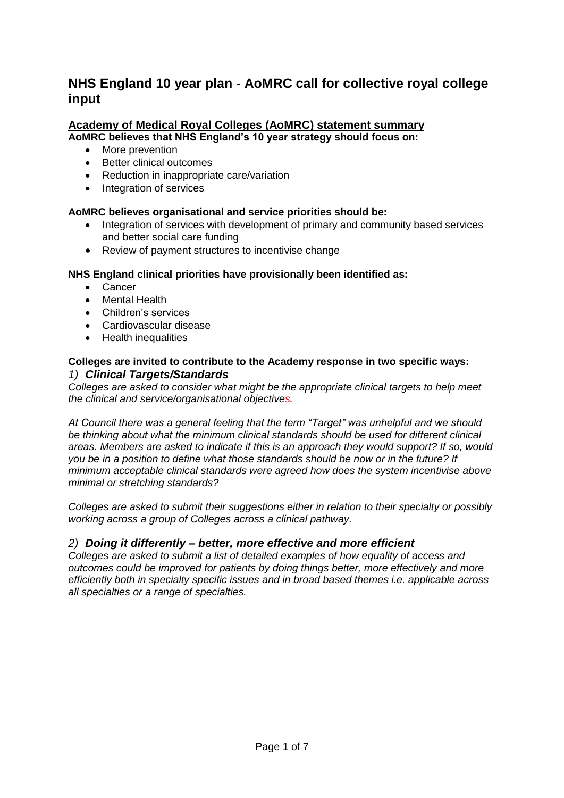# **NHS England 10 year plan - AoMRC call for collective royal college input**

### **Academy of Medical Royal Colleges (AoMRC) statement summary AoMRC believes that NHS England's 10 year strategy should focus on:**

- More prevention
- Better clinical outcomes
- Reduction in inappropriate care/variation
- Integration of services

# **AoMRC believes organisational and service priorities should be:**

- Integration of services with development of primary and community based services and better social care funding
- Review of payment structures to incentivise change

# **NHS England clinical priorities have provisionally been identified as:**

- Cancer
- Mental Health
- Children's services
- Cardiovascular disease
- Health inequalities

# **Colleges are invited to contribute to the Academy response in two specific ways:** *1) Clinical Targets/Standards*

*Colleges are asked to consider what might be the appropriate clinical targets to help meet the clinical and service/organisational objectives.* 

*At Council there was a general feeling that the term "Target" was unhelpful and we should be thinking about what the minimum clinical standards should be used for different clinical areas. Members are asked to indicate if this is an approach they would support? If so, would you be in a position to define what those standards should be now or in the future? If minimum acceptable clinical standards were agreed how does the system incentivise above minimal or stretching standards?* 

*Colleges are asked to submit their suggestions either in relation to their specialty or possibly working across a group of Colleges across a clinical pathway.*

# *2) Doing it differently – better, more effective and more efficient*

*Colleges are asked to submit a list of detailed examples of how equality of access and outcomes could be improved for patients by doing things better, more effectively and more efficiently both in specialty specific issues and in broad based themes i.e. applicable across all specialties or a range of specialties.*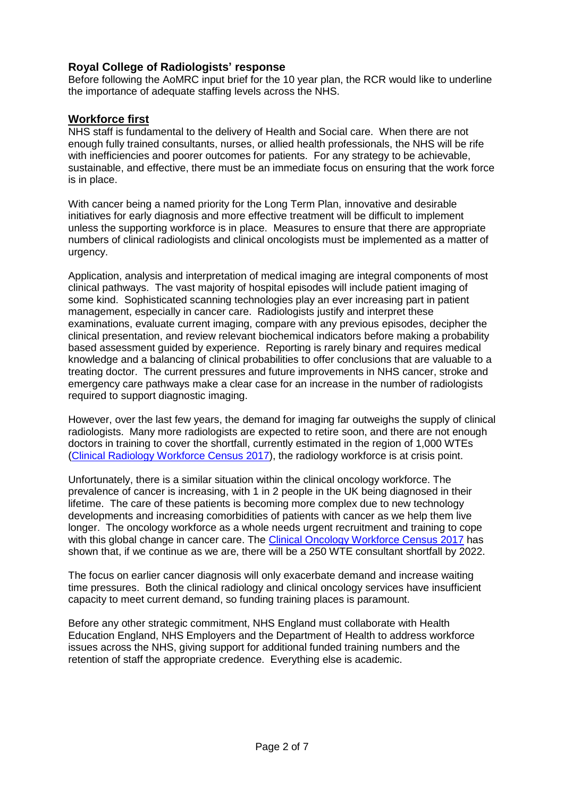# **Royal College of Radiologists' response**

Before following the AoMRC input brief for the 10 year plan, the RCR would like to underline the importance of adequate staffing levels across the NHS.

# **Workforce first**

NHS staff is fundamental to the delivery of Health and Social care. When there are not enough fully trained consultants, nurses, or allied health professionals, the NHS will be rife with inefficiencies and poorer outcomes for patients. For any strategy to be achievable, sustainable, and effective, there must be an immediate focus on ensuring that the work force is in place.

With cancer being a named priority for the Long Term Plan, innovative and desirable initiatives for early diagnosis and more effective treatment will be difficult to implement unless the supporting workforce is in place. Measures to ensure that there are appropriate numbers of clinical radiologists and clinical oncologists must be implemented as a matter of urgency.

Application, analysis and interpretation of medical imaging are integral components of most clinical pathways. The vast majority of hospital episodes will include patient imaging of some kind. Sophisticated scanning technologies play an ever increasing part in patient management, especially in cancer care. Radiologists justify and interpret these examinations, evaluate current imaging, compare with any previous episodes, decipher the clinical presentation, and review relevant biochemical indicators before making a probability based assessment guided by experience. Reporting is rarely binary and requires medical knowledge and a balancing of clinical probabilities to offer conclusions that are valuable to a treating doctor. The current pressures and future improvements in NHS cancer, stroke and emergency care pathways make a clear case for an increase in the number of radiologists required to support diagnostic imaging.

However, over the last few years, the demand for imaging far outweighs the supply of clinical radiologists. Many more radiologists are expected to retire soon, and there are not enough doctors in training to cover the shortfall, currently estimated in the region of 1,000 WTEs [\(Clinical Radiology Workforce Census 2017\)](https://www.rcr.ac.uk/system/files/publication/field_publication_files/bfcr185_cr_census_2017.pdf), the radiology workforce is at crisis point.

Unfortunately, there is a similar situation within the clinical oncology workforce. The prevalence of cancer is increasing, with 1 in 2 people in the UK being diagnosed in their lifetime. The care of these patients is becoming more complex due to new technology developments and increasing comorbidities of patients with cancer as we help them live longer. The oncology workforce as a whole needs urgent recruitment and training to cope with this global change in cancer care. The [Clinical Oncology Workforce Census 2017](https://www.rcr.ac.uk/system/files/publication/field_publication_files/bfco181_co_census_2017.pdf) has shown that, if we continue as we are, there will be a 250 WTE consultant shortfall by 2022.

The focus on earlier cancer diagnosis will only exacerbate demand and increase waiting time pressures. Both the clinical radiology and clinical oncology services have insufficient capacity to meet current demand, so funding training places is paramount.

Before any other strategic commitment, NHS England must collaborate with Health Education England, NHS Employers and the Department of Health to address workforce issues across the NHS, giving support for additional funded training numbers and the retention of staff the appropriate credence. Everything else is academic.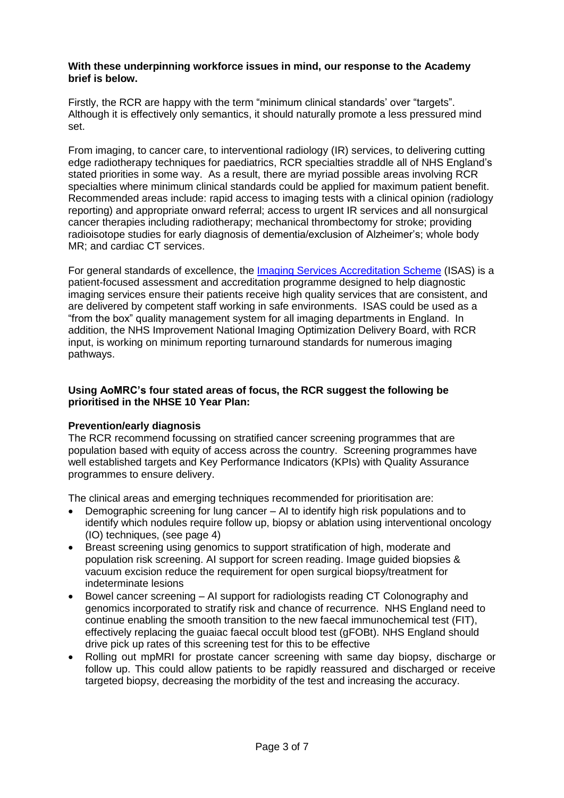#### **With these underpinning workforce issues in mind, our response to the Academy brief is below.**

Firstly, the RCR are happy with the term "minimum clinical standards' over "targets". Although it is effectively only semantics, it should naturally promote a less pressured mind set.

From imaging, to cancer care, to interventional radiology (IR) services, to delivering cutting edge radiotherapy techniques for paediatrics, RCR specialties straddle all of NHS England's stated priorities in some way. As a result, there are myriad possible areas involving RCR specialties where minimum clinical standards could be applied for maximum patient benefit. Recommended areas include: rapid access to imaging tests with a clinical opinion (radiology reporting) and appropriate onward referral; access to urgent IR services and all nonsurgical cancer therapies including radiotherapy; mechanical thrombectomy for stroke; providing radioisotope studies for early diagnosis of dementia/exclusion of Alzheimer's; whole body MR; and cardiac CT services.

For general standards of excellence, the [Imaging Services Accreditation Scheme](https://www.rcr.ac.uk/clinical-radiology/service-delivery/imaging-services-accreditation-scheme-isas) (ISAS) is a patient-focused assessment and accreditation programme designed to help diagnostic imaging services ensure their patients receive high quality services that are consistent, and are delivered by competent staff working in safe environments. ISAS could be used as a "from the box" quality management system for all imaging departments in England. In addition, the NHS Improvement National Imaging Optimization Delivery Board, with RCR input, is working on minimum reporting turnaround standards for numerous imaging pathways.

### **Using AoMRC's four stated areas of focus, the RCR suggest the following be prioritised in the NHSE 10 Year Plan:**

### **Prevention/early diagnosis**

The RCR recommend focussing on stratified cancer screening programmes that are population based with equity of access across the country. Screening programmes have well established targets and Key Performance Indicators (KPIs) with Quality Assurance programmes to ensure delivery.

The clinical areas and emerging techniques recommended for prioritisation are:

- Demographic screening for lung cancer AI to identify high risk populations and to identify which nodules require follow up, biopsy or ablation using interventional oncology (IO) techniques, (see page 4)
- Breast screening using genomics to support stratification of high, moderate and population risk screening. AI support for screen reading. Image guided biopsies & vacuum excision reduce the requirement for open surgical biopsy/treatment for indeterminate lesions
- Bowel cancer screening AI support for radiologists reading CT Colonography and genomics incorporated to stratify risk and chance of recurrence. NHS England need to continue enabling the smooth transition to the new faecal immunochemical test (FIT), effectively replacing the guaiac faecal occult blood test (gFOBt). NHS England should drive pick up rates of this screening test for this to be effective
- Rolling out mpMRI for prostate cancer screening with same day biopsy, discharge or follow up. This could allow patients to be rapidly reassured and discharged or receive targeted biopsy, decreasing the morbidity of the test and increasing the accuracy.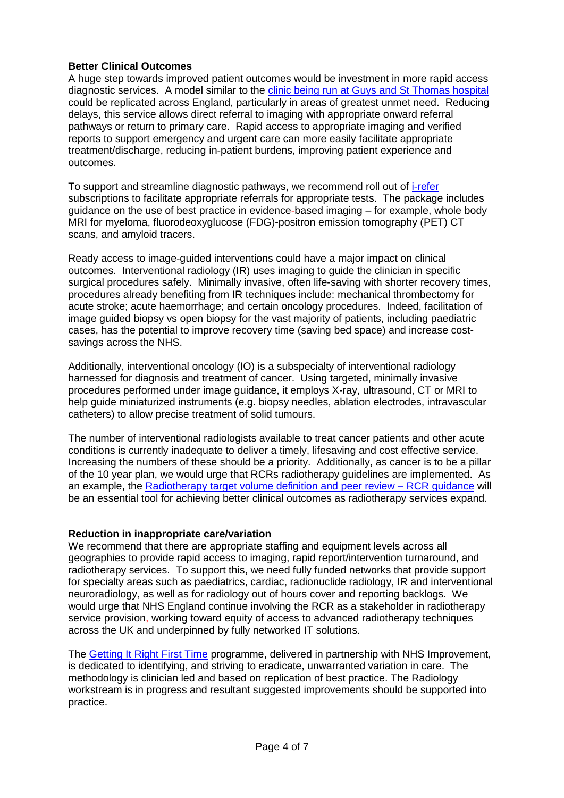# **Better Clinical Outcomes**

A huge step towards improved patient outcomes would be investment in more rapid access diagnostic services. A model similar to the [clinic being run at Guys and St Thomas hospital](http://www.guysandstthomas.nhs.uk/our-services/rapid-access-diagnostic-clinic/overview.aspx) could be replicated across England, particularly in areas of greatest unmet need. Reducing delays, this service allows direct referral to imaging with appropriate onward referral pathways or return to primary care. Rapid access to appropriate imaging and verified reports to support emergency and urgent care can more easily facilitate appropriate treatment/discharge, reducing in-patient burdens, improving patient experience and outcomes.

To support and streamline diagnostic pathways, we recommend roll out of [i-refer](https://www.irefer.org.uk/) subscriptions to facilitate appropriate referrals for appropriate tests. The package includes guidance on the use of best practice in evidence-based imaging – for example, whole body MRI for myeloma, fluorodeoxyglucose (FDG)-positron emission tomography (PET) CT scans, and amyloid tracers.

Ready access to image-guided interventions could have a major impact on clinical outcomes. Interventional radiology (IR) uses imaging to guide the clinician in specific surgical procedures safely. Minimally invasive, often life-saving with shorter recovery times, procedures already benefiting from IR techniques include: mechanical thrombectomy for acute stroke; acute haemorrhage; and certain oncology procedures. Indeed, facilitation of image guided biopsy vs open biopsy for the vast majority of patients, including paediatric cases, has the potential to improve recovery time (saving bed space) and increase costsavings across the NHS.

Additionally, interventional oncology (IO) is a subspecialty of interventional radiology harnessed for diagnosis and treatment of cancer. Using targeted, minimally invasive procedures performed under image guidance, it employs X-ray, ultrasound, CT or MRI to help guide miniaturized instruments (e.g. biopsy needles, ablation electrodes, intravascular catheters) to allow precise treatment of solid tumours.

The number of interventional radiologists available to treat cancer patients and other acute conditions is currently inadequate to deliver a timely, lifesaving and cost effective service. Increasing the numbers of these should be a priority. Additionally, as cancer is to be a pillar of the 10 year plan, we would urge that RCRs radiotherapy guidelines are implemented. As an example, the [Radiotherapy target volume definition and peer review –](http://www.rcr.ac.uk/publication/radiotherapy-target-volume-definition-and-peer-review) RCR guidance will be an essential tool for achieving better clinical outcomes as radiotherapy services expand.

### **Reduction in inappropriate care/variation**

We recommend that there are appropriate staffing and equipment levels across all geographies to provide rapid access to imaging, rapid report/intervention turnaround, and radiotherapy services. To support this, we need fully funded networks that provide support for specialty areas such as paediatrics, cardiac, radionuclide radiology, IR and interventional neuroradiology, as well as for radiology out of hours cover and reporting backlogs. We would urge that NHS England continue involving the RCR as a stakeholder in radiotherapy service provision, working toward equity of access to advanced radiotherapy techniques across the UK and underpinned by fully networked IT solutions.

The [Getting It Right First Time](http://gettingitrightfirsttime.co.uk/) programme, delivered in partnership with NHS Improvement, is dedicated to identifying, and striving to eradicate, unwarranted variation in care. The methodology is clinician led and based on replication of best practice. The Radiology workstream is in progress and resultant suggested improvements should be supported into practice.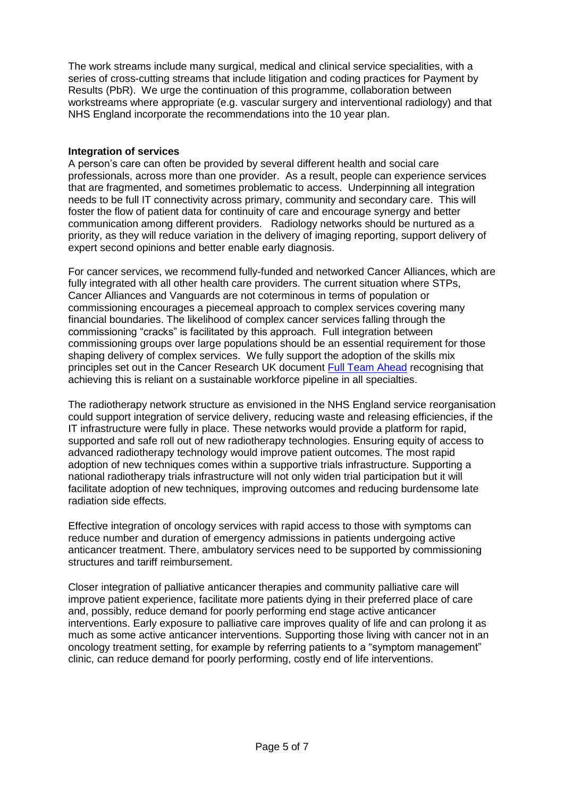The work streams include many surgical, medical and clinical service specialities, with a series of cross-cutting streams that include litigation and coding practices for Payment by Results (PbR). We urge the continuation of this programme, collaboration between workstreams where appropriate (e.g. vascular surgery and interventional radiology) and that NHS England incorporate the recommendations into the 10 year plan.

### **Integration of services**

A person's care can often be provided by several different health and social care professionals, across more than one provider. As a result, people can experience services that are fragmented, and sometimes problematic to access. Underpinning all integration needs to be full IT connectivity across primary, community and secondary care. This will foster the flow of patient data for continuity of care and encourage synergy and better communication among different providers. Radiology networks should be nurtured as a priority, as they will reduce variation in the delivery of imaging reporting, support delivery of expert second opinions and better enable early diagnosis.

For cancer services, we recommend fully-funded and networked Cancer Alliances, which are fully integrated with all other health care providers. The current situation where STPs, Cancer Alliances and Vanguards are not coterminous in terms of population or commissioning encourages a piecemeal approach to complex services covering many financial boundaries. The likelihood of complex cancer services falling through the commissioning "cracks" is facilitated by this approach. Full integration between commissioning groups over large populations should be an essential requirement for those shaping delivery of complex services. We fully support the adoption of the skills mix principles set out in the Cancer Research UK document [Full Team Ahead](https://www.cancerresearchuk.org/sites/default/files/full_team_ahead-full_report.pdf) recognising that achieving this is reliant on a sustainable workforce pipeline in all specialties.

The radiotherapy network structure as envisioned in the NHS England service reorganisation could support integration of service delivery, reducing waste and releasing efficiencies, if the IT infrastructure were fully in place. These networks would provide a platform for rapid, supported and safe roll out of new radiotherapy technologies. Ensuring equity of access to advanced radiotherapy technology would improve patient outcomes. The most rapid adoption of new techniques comes within a supportive trials infrastructure. Supporting a national radiotherapy trials infrastructure will not only widen trial participation but it will facilitate adoption of new techniques, improving outcomes and reducing burdensome late radiation side effects.

Effective integration of oncology services with rapid access to those with symptoms can reduce number and duration of emergency admissions in patients undergoing active anticancer treatment. There, ambulatory services need to be supported by commissioning structures and tariff reimbursement.

Closer integration of palliative anticancer therapies and community palliative care will improve patient experience, facilitate more patients dying in their preferred place of care and, possibly, reduce demand for poorly performing end stage active anticancer interventions. Early exposure to palliative care improves quality of life and can prolong it as much as some active anticancer interventions. Supporting those living with cancer not in an oncology treatment setting, for example by referring patients to a "symptom management" clinic, can reduce demand for poorly performing, costly end of life interventions.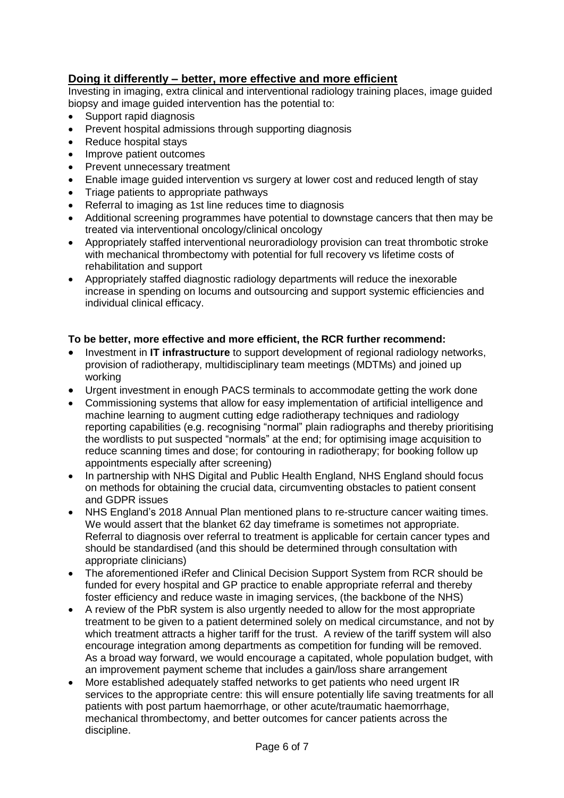# **Doing it differently – better, more effective and more efficient**

Investing in imaging, extra clinical and interventional radiology training places, image guided biopsy and image guided intervention has the potential to:

- Support rapid diagnosis
- Prevent hospital admissions through supporting diagnosis
- Reduce hospital stays
- Improve patient outcomes
- Prevent unnecessary treatment
- Enable image guided intervention vs surgery at lower cost and reduced length of stay
- Triage patients to appropriate pathways
- Referral to imaging as 1st line reduces time to diagnosis
- Additional screening programmes have potential to downstage cancers that then may be treated via interventional oncology/clinical oncology
- Appropriately staffed interventional neuroradiology provision can treat thrombotic stroke with mechanical thrombectomy with potential for full recovery vs lifetime costs of rehabilitation and support
- Appropriately staffed diagnostic radiology departments will reduce the inexorable increase in spending on locums and outsourcing and support systemic efficiencies and individual clinical efficacy.

# **To be better, more effective and more efficient, the RCR further recommend:**

- Investment in **IT infrastructure** to support development of regional radiology networks, provision of radiotherapy, multidisciplinary team meetings (MDTMs) and joined up working
- Urgent investment in enough PACS terminals to accommodate getting the work done
- Commissioning systems that allow for easy implementation of artificial intelligence and machine learning to augment cutting edge radiotherapy techniques and radiology reporting capabilities (e.g. recognising "normal" plain radiographs and thereby prioritising the wordlists to put suspected "normals" at the end; for optimising image acquisition to reduce scanning times and dose; for contouring in radiotherapy; for booking follow up appointments especially after screening)
- In partnership with NHS Digital and Public Health England, NHS England should focus on methods for obtaining the crucial data, circumventing obstacles to patient consent and GDPR issues
- NHS England's 2018 Annual Plan mentioned plans to re-structure cancer waiting times. We would assert that the blanket 62 day timeframe is sometimes not appropriate. Referral to diagnosis over referral to treatment is applicable for certain cancer types and should be standardised (and this should be determined through consultation with appropriate clinicians)
- The aforementioned iRefer and Clinical Decision Support System from RCR should be funded for every hospital and GP practice to enable appropriate referral and thereby foster efficiency and reduce waste in imaging services, (the backbone of the NHS)
- A review of the PbR system is also urgently needed to allow for the most appropriate treatment to be given to a patient determined solely on medical circumstance, and not by which treatment attracts a higher tariff for the trust. A review of the tariff system will also encourage integration among departments as competition for funding will be removed. As a broad way forward, we would encourage a capitated, whole population budget, with an improvement payment scheme that includes a gain/loss share arrangement
- More established adequately staffed networks to get patients who need urgent IR services to the appropriate centre: this will ensure potentially life saving treatments for all patients with post partum haemorrhage, or other acute/traumatic haemorrhage, mechanical thrombectomy, and better outcomes for cancer patients across the discipline.